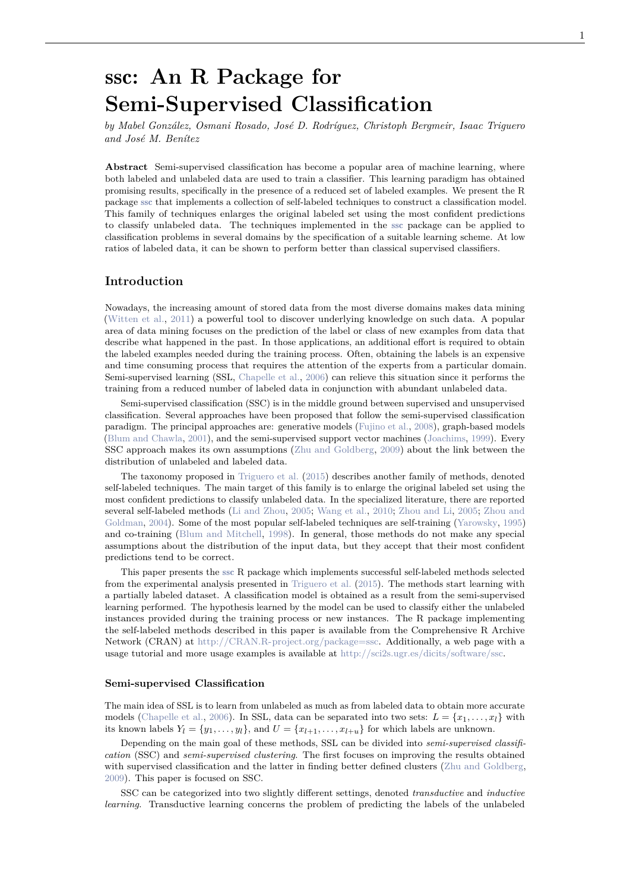# ssc**: An R Package for Semi-Supervised Classification**

*by Mabel González, Osmani Rosado, José D. Rodríguez, Christoph Bergmeir, Isaac Triguero and José M. Benítez*

**Abstract** Semi-supervised classification has become a popular area of machine learning, where both labeled and unlabeled data are used to train a classifier. This learning paradigm has obtained promising results, specifically in the presence of a reduced set of labeled examples. We present the R package ssc that implements a collection of self-labeled techniques to construct a classification model. This family of techniques enlarges the original labeled set using the most confident predictions to classify unlabeled data. The techniques implemented in the ssc package can be applied to classification problems in several domains by the specification of a suitable learning scheme. At low ratios of labeled data, it can be shown to perform better than classical supervised classifiers.

## **Introduction**

Nowadays, the increasing amount of stored data from the most diverse domains makes data mining (Witten et al., 2011) a powerful tool to discover underlying knowledge on such data. A popular area of data mining focuses on the prediction of the label or class of new examples from data that describe what happened in the past. In those applications, an additional effort is required to obtain the labeled examples needed during the training process. Often, obtaining the labels is an expensive and time consuming process that requires the attention of the experts from a particular domain. Semi-supervised learning (SSL, Chapelle et al., 2006) can relieve this situation since it performs the training from a reduced number of labeled data in conjunction with abundant unlabeled data.

Semi-supervised classification (SSC) is in the middle ground between supervised and unsupervised classification. Several approaches have been proposed that follow the semi-supervised classification paradigm. The principal approaches are: generative models (Fujino et al., 2008), graph-based models (Blum and Chawla, 2001), and the semi-supervised support vector machines (Joachims, 1999). Every SSC approach makes its own assumptions (Zhu and Goldberg, 2009) about the link between the distribution of unlabeled and labeled data.

The taxonomy proposed in Triguero et al. (2015) describes another family of methods, denoted self-labeled techniques. The main target of this family is to enlarge the original labeled set using the most confident predictions to classify unlabeled data. In the specialized literature, there are reported several self-labeled methods (Li and Zhou, 2005; Wang et al., 2010; Zhou and Li, 2005; Zhou and Goldman, 2004). Some of the most popular self-labeled techniques are self-training (Yarowsky, 1995) and co-training (Blum and Mitchell, 1998). In general, those methods do not make any special assumptions about the distribution of the input data, but they accept that their most confident predictions tend to be correct.

This paper presents the ssc R package which implements successful self-labeled methods selected from the experimental analysis presented in Triguero et al. (2015). The methods start learning with a partially labeled dataset. A classification model is obtained as a result from the semi-supervised learning performed. The hypothesis learned by the model can be used to classify either the unlabeled instances provided during the training process or new instances. The R package implementing the self-labeled methods described in this paper is available from the Comprehensive R Archive Network (CRAN) at http://CRAN.R-project.org/package=ssc. Additionally, a web page with a usage tutorial and more usage examples is available at http://sci2s.ugr.es/dicits/software/ssc.

#### **Semi-supervised Classification**

The main idea of SSL is to learn from unlabeled as much as from labeled data to obtain more accurate models (Chapelle et al., 2006). In SSL, data can be separated into two sets:  $L = \{x_1, \ldots, x_l\}$  with its known labels  $Y_l = \{y_1, \ldots, y_l\}$ , and  $U = \{x_{l+1}, \ldots, x_{l+u}\}$  for which labels are unknown.

Depending on the main goal of these methods, SSL can be divided into *semi-supervised classification* (SSC) and *semi-supervised clustering*. The first focuses on improving the results obtained with supervised classification and the latter in finding better defined clusters (Zhu and Goldberg, 2009). This paper is focused on SSC.

SSC can be categorized into two slightly different settings, denoted *transductive* and *inductive learning*. Transductive learning concerns the problem of predicting the labels of the unlabeled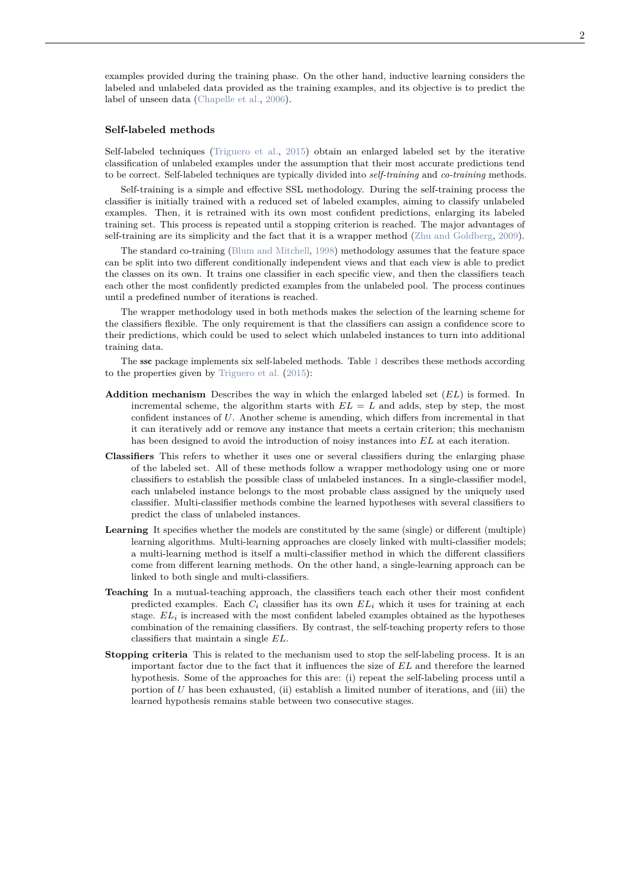examples provided during the training phase. On the other hand, inductive learning considers the labeled and unlabeled data provided as the training examples, and its objective is to predict the label of unseen data (Chapelle et al., 2006).

#### **Self-labeled methods**

Self-labeled techniques (Triguero et al., 2015) obtain an enlarged labeled set by the iterative classification of unlabeled examples under the assumption that their most accurate predictions tend to be correct. Self-labeled techniques are typically divided into *self-training* and *co-training* methods.

Self-training is a simple and effective SSL methodology. During the self-training process the classifier is initially trained with a reduced set of labeled examples, aiming to classify unlabeled examples. Then, it is retrained with its own most confident predictions, enlarging its labeled training set. This process is repeated until a stopping criterion is reached. The major advantages of self-training are its simplicity and the fact that it is a wrapper method (Zhu and Goldberg, 2009).

The standard co-training (Blum and Mitchell, 1998) methodology assumes that the feature space can be split into two different conditionally independent views and that each view is able to predict the classes on its own. It trains one classifier in each specific view, and then the classifiers teach each other the most confidently predicted examples from the unlabeled pool. The process continues until a predefined number of iterations is reached.

The wrapper methodology used in both methods makes the selection of the learning scheme for the classifiers flexible. The only requirement is that the classifiers can assign a confidence score to their predictions, which could be used to select which unlabeled instances to turn into additional training data.

The ssc package implements six self-labeled methods. Table 1 describes these methods according to the properties given by Triguero et al. (2015):

- **Addition mechanism** Describes the way in which the enlarged labeled set (*EL*) is formed. In incremental scheme, the algorithm starts with  $EL = L$  and adds, step by step, the most confident instances of *U*. Another scheme is amending, which differs from incremental in that it can iteratively add or remove any instance that meets a certain criterion; this mechanism has been designed to avoid the introduction of noisy instances into *EL* at each iteration.
- **Classifiers** This refers to whether it uses one or several classifiers during the enlarging phase of the labeled set. All of these methods follow a wrapper methodology using one or more classifiers to establish the possible class of unlabeled instances. In a single-classifier model, each unlabeled instance belongs to the most probable class assigned by the uniquely used classifier. Multi-classifier methods combine the learned hypotheses with several classifiers to predict the class of unlabeled instances.
- **Learning** It specifies whether the models are constituted by the same (single) or different (multiple) learning algorithms. Multi-learning approaches are closely linked with multi-classifier models; a multi-learning method is itself a multi-classifier method in which the different classifiers come from different learning methods. On the other hand, a single-learning approach can be linked to both single and multi-classifiers.
- **Teaching** In a mutual-teaching approach, the classifiers teach each other their most confident predicted examples. Each  $C_i$  classifier has its own  $EL_i$  which it uses for training at each stage. *ELi* is increased with the most confident labeled examples obtained as the hypotheses combination of the remaining classifiers. By contrast, the self-teaching property refers to those classifiers that maintain a single *EL*.
- **Stopping criteria** This is related to the mechanism used to stop the self-labeling process. It is an important factor due to the fact that it influences the size of *EL* and therefore the learned hypothesis. Some of the approaches for this are: (i) repeat the self-labeling process until a portion of *U* has been exhausted, (ii) establish a limited number of iterations, and (iii) the learned hypothesis remains stable between two consecutive stages.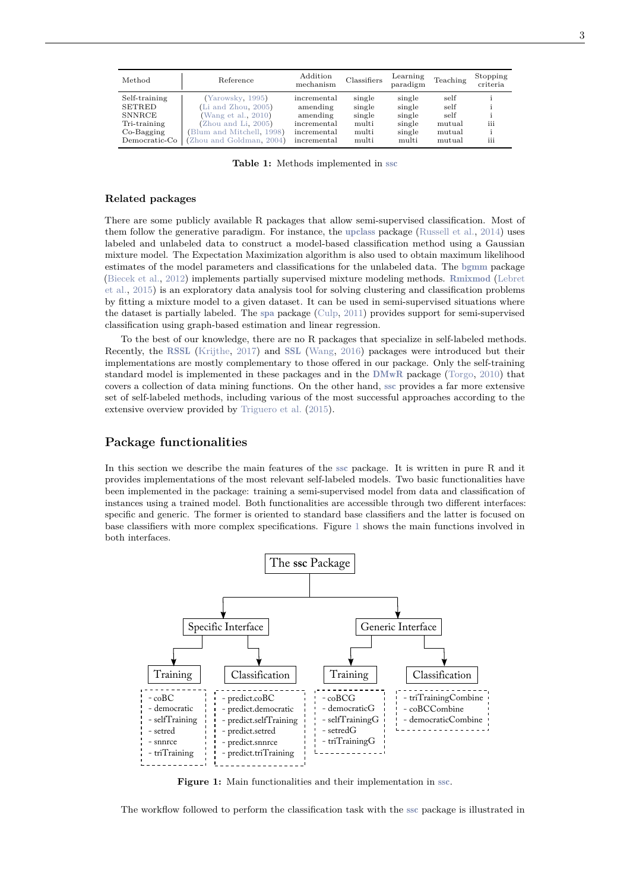| Method        | Reference                      | Addition<br>mechanism | Classifiers | Learning<br>paradigm | Teaching | Stopping<br>criteria |
|---------------|--------------------------------|-----------------------|-------------|----------------------|----------|----------------------|
| Self-training | (Yarowsky, 1995)               | incremental           | single      | single               | self     |                      |
| <b>SETRED</b> | $(Li \text{ and } Zhou, 2005)$ | amending              | single      | single               | self     |                      |
| <b>SNNRCE</b> | (Wang et al., $2010$ )         | amending              | single      | single               | self     |                      |
| Tri-training  | (Zhou and Li, 2005)            | incremental           | multi       | single               | mutual   | iii                  |
| $Co-Bagging$  | (Blum and Mitchell, 1998)      | incremental           | multi       | single               | mutual   |                      |
| Democratic-Co | (Zhou and Goldman, 2004)       | incremental           | multi       | multi                | mutual   | iii                  |

**Table 1:** Methods implemented in ssc

#### **Related packages**

There are some publicly available R packages that allow semi-supervised classification. Most of them follow the generative paradigm. For instance, the upclass package (Russell et al., 2014) uses labeled and unlabeled data to construct a model-based classification method using a Gaussian mixture model. The Expectation Maximization algorithm is also used to obtain maximum likelihood estimates of the model parameters and classifications for the unlabeled data. The bgmm package (Biecek et al., 2012) implements partially supervised mixture modeling methods. Rmixmod (Lebret et al., 2015) is an exploratory data analysis tool for solving clustering and classification problems by fitting a mixture model to a given dataset. It can be used in semi-supervised situations where the dataset is partially labeled. The spa package (Culp, 2011) provides support for semi-supervised classification using graph-based estimation and linear regression.

To the best of our knowledge, there are no R packages that specialize in self-labeled methods. Recently, the RSSL (Krijthe, 2017) and SSL (Wang, 2016) packages were introduced but their implementations are mostly complementary to those offered in our package. Only the self-training standard model is implemented in these packages and in the DMwR package (Torgo, 2010) that covers a collection of data mining functions. On the other hand, ssc provides a far more extensive set of self-labeled methods, including various of the most successful approaches according to the extensive overview provided by Triguero et al. (2015).

## **Package functionalities**

In this section we describe the main features of the ssc package. It is written in pure R and it provides implementations of the most relevant self-labeled models. Two basic functionalities have been implemented in the package: training a semi-supervised model from data and classification of instances using a trained model. Both functionalities are accessible through two different interfaces: specific and generic. The former is oriented to standard base classifiers and the latter is focused on base classifiers with more complex specifications. Figure 1 shows the main functions involved in both interfaces.



**Figure 1:** Main functionalities and their implementation in ssc.

The workflow followed to perform the classification task with the ssc package is illustrated in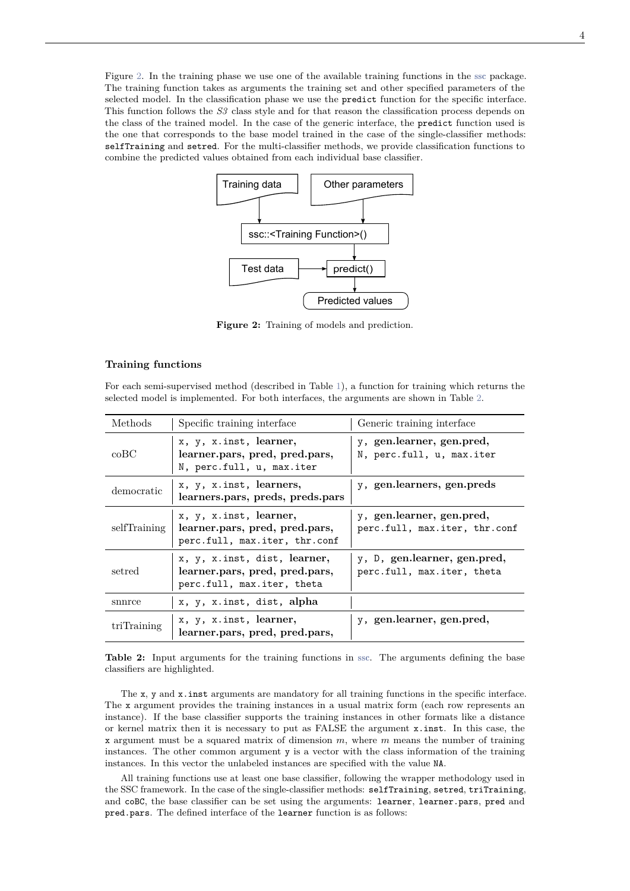Figure 2. In the training phase we use one of the available training functions in the ssc package. The training function takes as arguments the training set and other specified parameters of the selected model. In the classification phase we use the predict function for the specific interface. This function follows the *S3* class style and for that reason the classification process depends on the class of the trained model. In the case of the generic interface, the predict function used is the one that corresponds to the base model trained in the case of the single-classifier methods: selfTraining and setred. For the multi-classifier methods, we provide classification functions to combine the predicted values obtained from each individual base classifier.



**Figure 2:** Training of models and prediction.

#### **Training functions**

For each semi-supervised method (described in Table 1), a function for training which returns the selected model is implemented. For both interfaces, the arguments are shown in Table 2.

| Methods       | Specific training interface                                                                  | Generic training interface                                 |  |  |
|---------------|----------------------------------------------------------------------------------------------|------------------------------------------------------------|--|--|
| $_{\rm coBC}$ | x, y, x.inst, learner,<br>learner.pars, pred, pred.pars,<br>N, perc.full, u, max.iter        | y, gen.learner, gen.pred,<br>N, perc.full, u, max.iter     |  |  |
| democratic    | x, y, x.inst, learners,<br>learners.pars, preds, preds.pars                                  | y, gen.learners, gen.preds                                 |  |  |
| selfTraining  | x, y, x.inst, learner,<br>learner.pars, pred, pred.pars,<br>perc.full, max.iter, thr.conf    | y, gen.learner, gen.pred,<br>perc.full, max.iter, thr.conf |  |  |
| setred        | x, y, x.inst, dist, learner,<br>learner.pars, pred, pred.pars,<br>perc.full, max.iter, theta | y, D, gen.learner, gen.pred,<br>perc.full, max.iter, theta |  |  |
| snnrce        | x, y, x.inst, dist, alpha                                                                    |                                                            |  |  |
| triTraining   | x, y, x.inst, learner,<br>learner.pars, pred, pred.pars,                                     | y, gen.learner, gen.pred,                                  |  |  |

**Table 2:** Input arguments for the training functions in ssc. The arguments defining the base classifiers are highlighted.

The x, y and x.inst arguments are mandatory for all training functions in the specific interface. The x argument provides the training instances in a usual matrix form (each row represents an instance). If the base classifier supports the training instances in other formats like a distance or kernel matrix then it is necessary to put as FALSE the argument x.inst. In this case, the x argument must be a squared matrix of dimension *m*, where *m* means the number of training instances. The other common argument y is a vector with the class information of the training instances. In this vector the unlabeled instances are specified with the value NA.

All training functions use at least one base classifier, following the wrapper methodology used in the SSC framework. In the case of the single-classifier methods: selfTraining, setred, triTraining, and coBC, the base classifier can be set using the arguments: learner, learner.pars, pred and pred.pars. The defined interface of the learner function is as follows: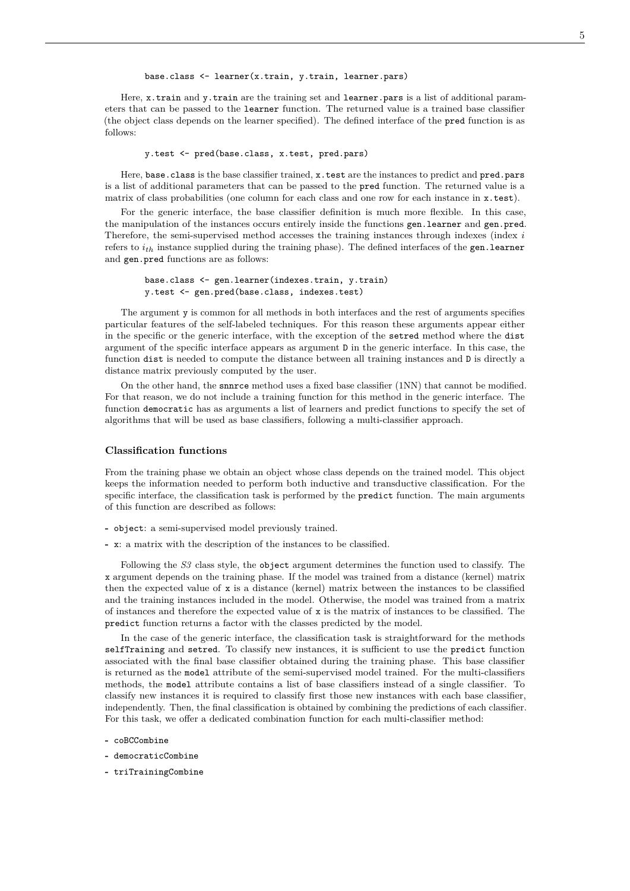base.class <- learner(x.train, y.train, learner.pars)

Here, x.train and y.train are the training set and learner.pars is a list of additional parameters that can be passed to the learner function. The returned value is a trained base classifier (the object class depends on the learner specified). The defined interface of the pred function is as follows:

y.test <- pred(base.class, x.test, pred.pars)

Here, base.class is the base classifier trained, x.test are the instances to predict and pred.pars is a list of additional parameters that can be passed to the pred function. The returned value is a matrix of class probabilities (one column for each class and one row for each instance in  $x.test$ ).

For the generic interface, the base classifier definition is much more flexible. In this case, the manipulation of the instances occurs entirely inside the functions gen.learner and gen.pred. Therefore, the semi-supervised method accesses the training instances through indexes (index *i* refers to *ith* instance supplied during the training phase). The defined interfaces of the gen.learner and gen.pred functions are as follows:

```
base.class <- gen.learner(indexes.train, y.train)
y.test <- gen.pred(base.class, indexes.test)
```
The argument y is common for all methods in both interfaces and the rest of arguments specifies particular features of the self-labeled techniques. For this reason these arguments appear either in the specific or the generic interface, with the exception of the setred method where the dist argument of the specific interface appears as argument D in the generic interface. In this case, the function dist is needed to compute the distance between all training instances and D is directly a distance matrix previously computed by the user.

On the other hand, the snnrce method uses a fixed base classifier (1NN) that cannot be modified. For that reason, we do not include a training function for this method in the generic interface. The function democratic has as arguments a list of learners and predict functions to specify the set of algorithms that will be used as base classifiers, following a multi-classifier approach.

#### **Classification functions**

From the training phase we obtain an object whose class depends on the trained model. This object keeps the information needed to perform both inductive and transductive classification. For the specific interface, the classification task is performed by the predict function. The main arguments of this function are described as follows:

- **-** object: a semi-supervised model previously trained.
- **-** x: a matrix with the description of the instances to be classified.

Following the *S3* class style, the object argument determines the function used to classify. The x argument depends on the training phase. If the model was trained from a distance (kernel) matrix then the expected value of x is a distance (kernel) matrix between the instances to be classified and the training instances included in the model. Otherwise, the model was trained from a matrix of instances and therefore the expected value of  $x$  is the matrix of instances to be classified. The predict function returns a factor with the classes predicted by the model.

In the case of the generic interface, the classification task is straightforward for the methods selfTraining and setred. To classify new instances, it is sufficient to use the predict function associated with the final base classifier obtained during the training phase. This base classifier is returned as the model attribute of the semi-supervised model trained. For the multi-classifiers methods, the model attribute contains a list of base classifiers instead of a single classifier. To classify new instances it is required to classify first those new instances with each base classifier, independently. Then, the final classification is obtained by combining the predictions of each classifier. For this task, we offer a dedicated combination function for each multi-classifier method:

- **-** coBCCombine
- **-** democraticCombine
- **-** triTrainingCombine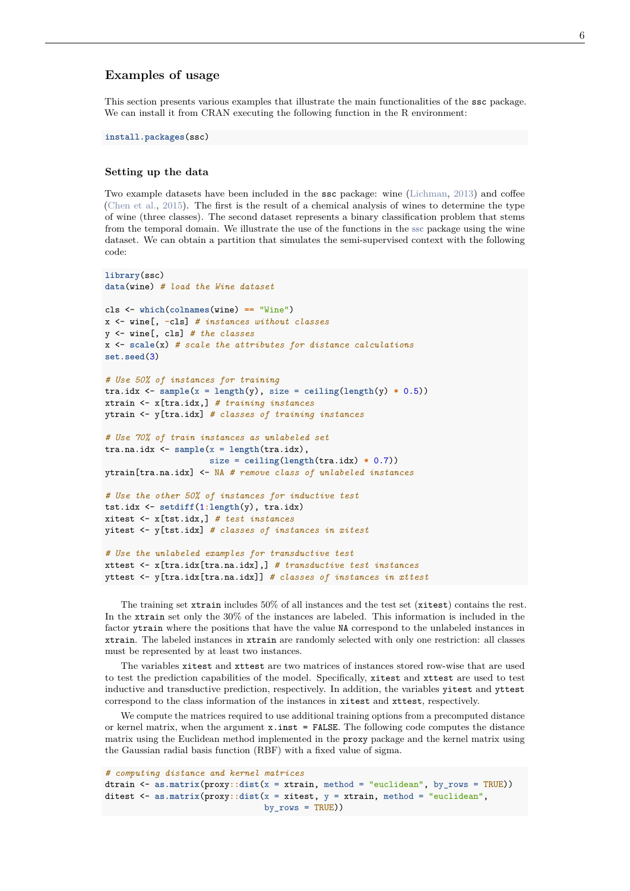# **Examples of usage**

This section presents various examples that illustrate the main functionalities of the ssc package. We can install it from CRAN executing the following function in the R environment:

**install.packages**(ssc)

#### **Setting up the data**

Two example datasets have been included in the ssc package: wine (Lichman, 2013) and coffee (Chen et al., 2015). The first is the result of a chemical analysis of wines to determine the type of wine (three classes). The second dataset represents a binary classification problem that stems from the temporal domain. We illustrate the use of the functions in the ssc package using the wine dataset. We can obtain a partition that simulates the semi-supervised context with the following code:

```
library(ssc)
data(wine) # load the Wine dataset
cls <- which(colnames(wine) == "Wine")
x <- wine[, -cls] # instances without classes
y <- wine[, cls] # the classes
x <- scale(x) # scale the attributes for distance calculations
set.seed(3)
# Use 50% of instances for training
\text{tra.idx} \leftarrow \text{sample}(x = \text{length}(y), \text{ size} = \text{ceiling}(\text{length}(y) * 0.5))xtrain <- x[tra.idx,] # training instances
ytrain <- y[tra.idx] # classes of training instances
# Use 70% of train instances as unlabeled set
tra.na.idx <- sample(x = length(tra.idx),
                      size = ceiling(length(tra.idx) * 0.7))
ytrain[tra.na.idx] <- NA # remove class of unlabeled instances
# Use the other 50% of instances for inductive test
tst.idx <- setdiff(1:length(y), tra.idx)
xitest <- x[tst.idx,] # test instances
yitest <- y[tst.idx] # classes of instances in xitest
# Use the unlabeled examples for transductive test
xttest <- x[tra.idx[tra.na.idx],] # transductive test instances
yttest <- y[tra.idx[tra.na.idx]] # classes of instances in xttest
```
The training set xtrain includes 50% of all instances and the test set (xitest) contains the rest. In the xtrain set only the 30% of the instances are labeled. This information is included in the factor ytrain where the positions that have the value NA correspond to the unlabeled instances in xtrain. The labeled instances in xtrain are randomly selected with only one restriction: all classes must be represented by at least two instances.

The variables xitest and xttest are two matrices of instances stored row-wise that are used to test the prediction capabilities of the model. Specifically, xitest and xttest are used to test inductive and transductive prediction, respectively. In addition, the variables yitest and yttest correspond to the class information of the instances in xitest and xttest, respectively.

We compute the matrices required to use additional training options from a precomputed distance or kernel matrix, when the argument  $x \cdot \text{inst} = \text{FALSE.}$  The following code computes the distance matrix using the Euclidean method implemented in the proxy package and the kernel matrix using the Gaussian radial basis function (RBF) with a fixed value of sigma.

```
# computing distance and kernel matrices
dtrain <- as.matrix(proxy::dist(x = xtrain, method = "euclidean", by_rows = TRUE))
ditest \leq as matrix (proxy::dist(x = xitest, y = xtrain, method = "euclidean",
                                by rows = TRUE))
```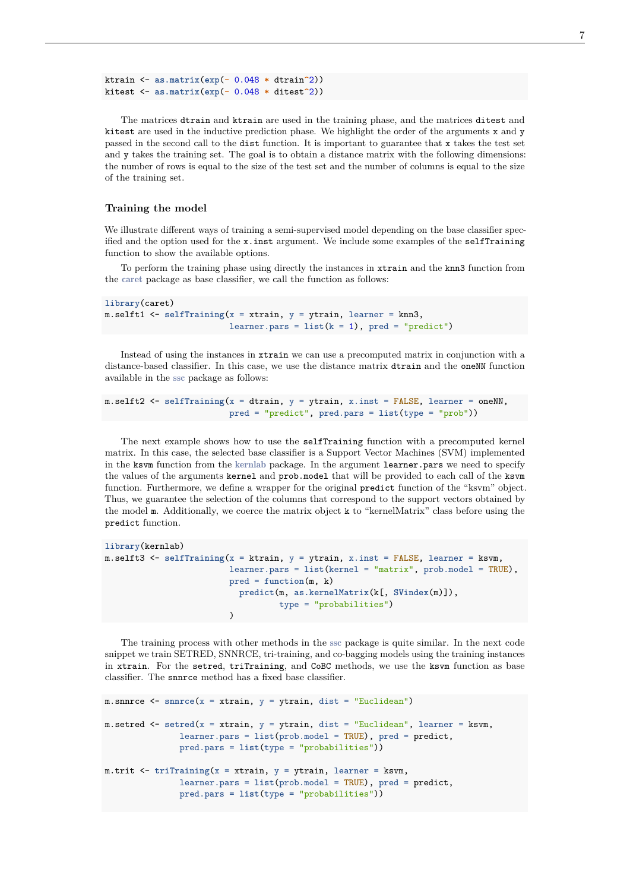ktrain <- **as.matrix**(**exp**(**-** 0.048 **\*** dtrain**^**2)) kitest <- **as.matrix**(**exp**(**-** 0.048 **\*** ditest**^**2))

The matrices dtrain and ktrain are used in the training phase, and the matrices ditest and kitest are used in the inductive prediction phase. We highlight the order of the arguments x and y passed in the second call to the dist function. It is important to guarantee that x takes the test set and y takes the training set. The goal is to obtain a distance matrix with the following dimensions: the number of rows is equal to the size of the test set and the number of columns is equal to the size of the training set.

## **Training the model**

We illustrate different ways of training a semi-supervised model depending on the base classifier specified and the option used for the x.inst argument. We include some examples of the selfTraining function to show the available options.

To perform the training phase using directly the instances in xtrain and the knn3 function from the caret package as base classifier, we call the function as follows:

```
library(caret)
m.selft1 <- selfTraining(x = xtrain, y = ytrain, learner = knn3,
                         learner.parse = list(k = 1), pred = "predict")
```
Instead of using the instances in xtrain we can use a precomputed matrix in conjunction with a distance-based classifier. In this case, we use the distance matrix dtrain and the oneNN function available in the ssc package as follows:

```
m.selft2 <- selfTraining(x = dtrain, y = ytrain, x.inst = FALSE, learner = oneNN,
                         pred = "predict", pred.pars = list(type = "prob"))
```
The next example shows how to use the selfTraining function with a precomputed kernel matrix. In this case, the selected base classifier is a Support Vector Machines (SVM) implemented in the ksvm function from the kernlab package. In the argument learner.pars we need to specify the values of the arguments kernel and prob.model that will be provided to each call of the ksvm function. Furthermore, we define a wrapper for the original predict function of the "ksvm" object. Thus, we guarantee the selection of the columns that correspond to the support vectors obtained by the model m. Additionally, we coerce the matrix object k to "kernelMatrix" class before using the predict function.

```
library(kernlab)
m.selft3 <- selfTraining(x = ktrain, y = ytrain, x.inst = FALSE, learner = ksvm,
                         learner.pars = list(kernel = "matrix", prob.model = TRUE),
                         pred = function(m, k)
                           predict(m, as.kernelMatrix(k[, SVindex(m)]),
                                   type = "probabilities")
                         )
```
The training process with other methods in the ssc package is quite similar. In the next code snippet we train SETRED, SNNRCE, tri-training, and co-bagging models using the training instances in xtrain. For the setred, triTraining, and CoBC methods, we use the ksvm function as base classifier. The snnrce method has a fixed base classifier.

```
m.snnrce <- snnrce(x = xtrain, y = ytrain, dist = "Euclidean")
m.setred <- setred(x = xtrain, y = ytrain, dist = "Euclidean", learner = ksvm,
               learner.pars = list(prob.model = TRUE), pred = predict,
               pred.pars = list(type = "probabilities"))
m.trit <- triTraining(x = xtrain, y = ytrain, learner = ksvm,
               learner.pars = list(prob.model = TRUE), pred = predict,
               pred.pars = list(type = "probabilities"))
```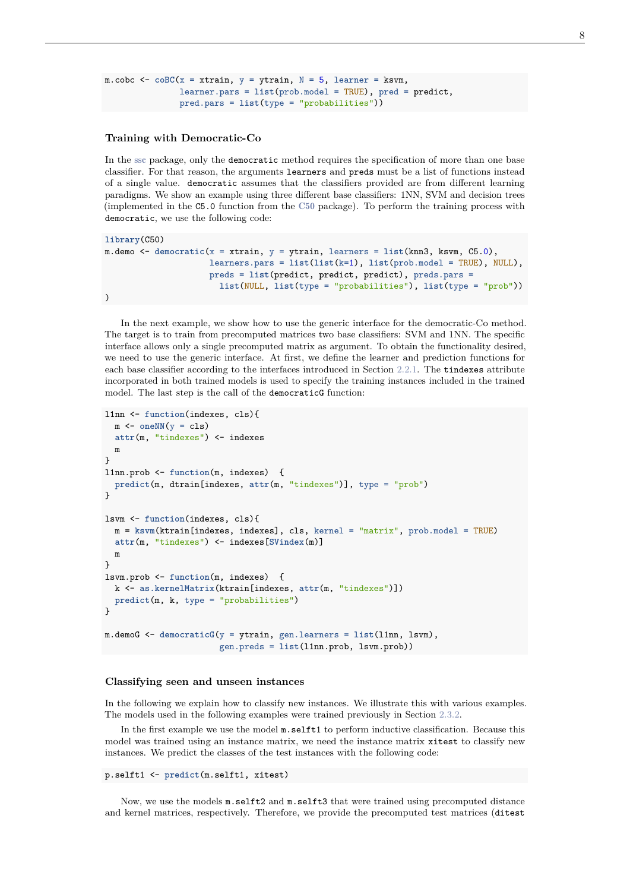```
m.cobc \leq \circ \cot(x) = xtrain, y = ytrain, N = 5, learner = ksvm,
                learner.pars = list(prob.model = TRUE), pred = predict,
                pred.pars = list(type = "probabilities"))
```
#### **Training with Democratic-Co**

In the ssc package, only the democratic method requires the specification of more than one base classifier. For that reason, the arguments learners and preds must be a list of functions instead of a single value. democratic assumes that the classifiers provided are from different learning paradigms. We show an example using three different base classifiers: 1NN, SVM and decision trees (implemented in the C5.0 function from the C50 package). To perform the training process with democratic, we use the following code:

```
library(C50)
m.demo <- democratic(x = xtrain, y = ytrain, learners = list(knn3, ksvm, C5.0),
                     learners.pars = list(list(k=1), list(prob.model = TRUE), NULL),
                     preds = list(predict, predict, predict), preds.pars =
                       list(NULL, list(type = "probabilities"), list(type = "prob"))
)
```
In the next example, we show how to use the generic interface for the democratic-Co method. The target is to train from precomputed matrices two base classifiers: SVM and 1NN. The specific interface allows only a single precomputed matrix as argument. To obtain the functionality desired, we need to use the generic interface. At first, we define the learner and prediction functions for each base classifier according to the interfaces introduced in Section 2.2.1. The tindexes attribute incorporated in both trained models is used to specify the training instances included in the trained model. The last step is the call of the democraticG function:

```
l1nn <- function(indexes, cls){
  m \leftarrow oneNN(y = cls)
  attr(m, "tindexes") <- indexes
  m
}
l1nn.prob <- function(m, indexes) {
  predict(m, dtrain[indexes, attr(m, "tindexes")], type = "prob")
}
lsvm <- function(indexes, cls){
  m = ksvm(ktrain[indexes, indexes], cls, kernel = "matrix", prob.model = TRUE)
  attr(m, "tindexes") <- indexes[SVindex(m)]
  m
}
lsvm.prob <- function(m, indexes) {
  k <- as.kernelMatrix(ktrain[indexes, attr(m, "tindexes")])
  predict(m, k, type = "probabilities")
}
m.demoG <- democraticG(y = ytrain, gen.learners = list(l1nn, lsvm),
                       gen.preds = list(l1nn.prob, lsvm.prob))
```
#### **Classifying seen and unseen instances**

In the following we explain how to classify new instances. We illustrate this with various examples. The models used in the following examples were trained previously in Section 2.3.2.

In the first example we use the model m.selft1 to perform inductive classification. Because this model was trained using an instance matrix, we need the instance matrix xitest to classify new instances. We predict the classes of the test instances with the following code:

```
p.selft1 <- predict(m.selft1, xitest)
```
Now, we use the models m.selft2 and m.selft3 that were trained using precomputed distance and kernel matrices, respectively. Therefore, we provide the precomputed test matrices (ditest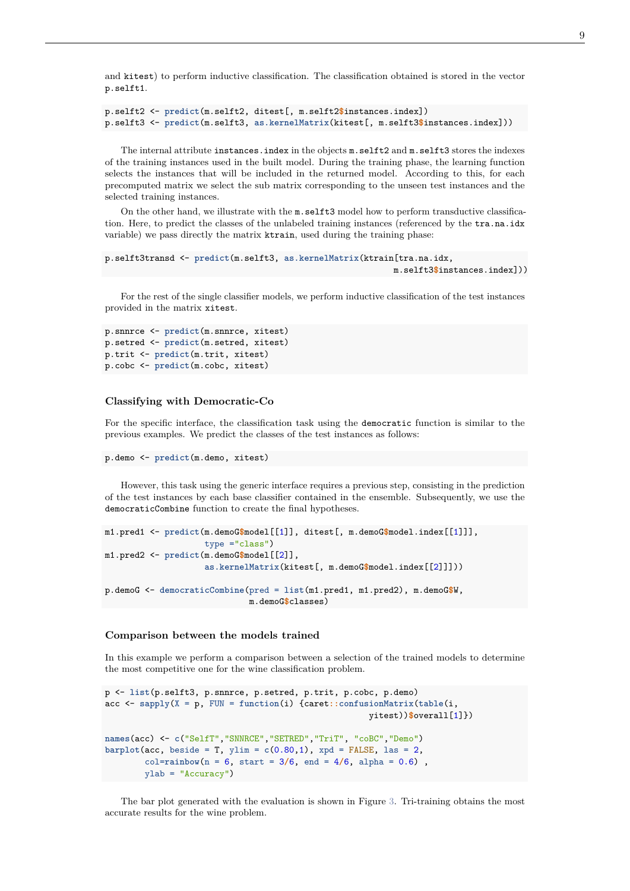and kitest) to perform inductive classification. The classification obtained is stored in the vector p.selft1.

```
p.selft2 <- predict(m.selft2, ditest[, m.selft2$instances.index])
p.selft3 <- predict(m.selft3, as.kernelMatrix(kitest[, m.selft3$instances.index]))
```
The internal attribute instances.index in the objects m.selft2 and m.selft3 stores the indexes of the training instances used in the built model. During the training phase, the learning function selects the instances that will be included in the returned model. According to this, for each precomputed matrix we select the sub matrix corresponding to the unseen test instances and the selected training instances.

On the other hand, we illustrate with the m.selft3 model how to perform transductive classification. Here, to predict the classes of the unlabeled training instances (referenced by the tra.na.idx variable) we pass directly the matrix ktrain, used during the training phase:

```
p.selft3transd <- predict(m.selft3, as.kernelMatrix(ktrain[tra.na.idx,
                                                          m.selft3$instances.index]))
```
For the rest of the single classifier models, we perform inductive classification of the test instances provided in the matrix xitest.

```
p.snnrce <- predict(m.snnrce, xitest)
p.setred <- predict(m.setred, xitest)
p.trit <- predict(m.trit, xitest)
p.cobc <- predict(m.cobc, xitest)
```
#### **Classifying with Democratic-Co**

For the specific interface, the classification task using the democratic function is similar to the previous examples. We predict the classes of the test instances as follows:

```
p.demo <- predict(m.demo, xitest)
```
However, this task using the generic interface requires a previous step, consisting in the prediction of the test instances by each base classifier contained in the ensemble. Subsequently, we use the democraticCombine function to create the final hypotheses.

```
m1.pred1 <- predict(m.demoG$model[[1]], ditest[, m.demoG$model.index[[1]]],
                    type ="class")
m1.pred2 <- predict(m.demoG$model[[2]],
                    as.kernelMatrix(kitest[, m.demoG$model.index[[2]]]))
p.demoG <- democraticCombine(pred = list(m1.pred1, m1.pred2), m.demoG$W,
                             m.demoG$classes)
```
#### **Comparison between the models trained**

In this example we perform a comparison between a selection of the trained models to determine the most competitive one for the wine classification problem.

```
p <- list(p.selft3, p.snnrce, p.setred, p.trit, p.cobc, p.demo)
acc <- sapply(X = p, FUN = function(i) {caret::confusionMatrix(table(i,
                                                          yitest))$overall[1]})
names(acc) <- c("SelfT","SNNRCE","SETRED","TriT", "coBC","Demo")
barplot(acc, beside = T, ylim = c(0.80, 1), xpd = FALSE, las = 2,col = \text{rainbow}(n = 6, \text{ start} = 3/6, \text{ end} = 4/6, \text{ alpha} = 0.6)ylab = "Accuracy")
```
The bar plot generated with the evaluation is shown in Figure 3. Tri-training obtains the most accurate results for the wine problem.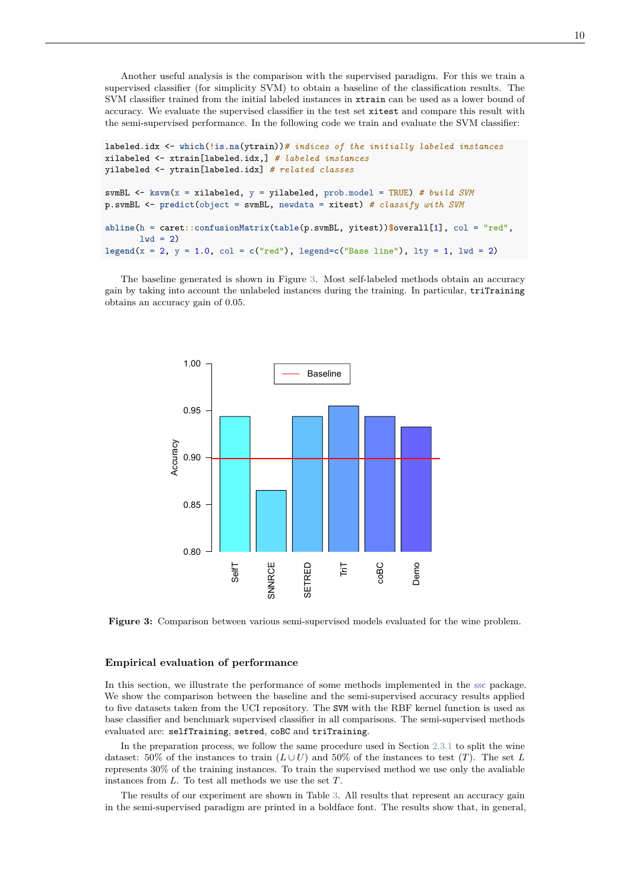Another useful analysis is the comparison with the supervised paradigm. For this we train a supervised classifier (for simplicity SVM) to obtain a baseline of the classification results. The SVM classifier trained from the initial labeled instances in xtrain can be used as a lower bound of accuracy. We evaluate the supervised classifier in the test set xitest and compare this result with the semi-supervised performance. In the following code we train and evaluate the SVM classifier:

```
labeled.idx <- which(!is.na(ytrain))# indices of the initially labeled instances
xilabeled <- xtrain[labeled.idx,] # labeled instances
yilabeled <- ytrain[labeled.idx] # related classes
svmBL <- ksvm(x = xilabeled, y = yilabeled, prob.model = TRUE) # build SVM
p.svmBL <- predict(object = svmBL, newdata = xitest) # classify with SVM
abline(h = caret::confusionMatrix(table(p.svmBL, yitest))$overall[1], col = "red",
       1wd = 2)lepend(x = 2, y = 1.0, col = c("red"), legend = c("Base line"), lty = 1, lwd = 2)
```
The baseline generated is shown in Figure 3. Most self-labeled methods obtain an accuracy gain by taking into account the unlabeled instances during the training. In particular, triTraining obtains an accuracy gain of 0.05.



**Figure 3:** Comparison between various semi-supervised models evaluated for the wine problem.

#### **Empirical evaluation of performance**

In this section, we illustrate the performance of some methods implemented in the ssc package. We show the comparison between the baseline and the semi-supervised accuracy results applied to five datasets taken from the UCI repository. The SVM with the RBF kernel function is used as base classifier and benchmark supervised classifier in all comparisons. The semi-supervised methods evaluated are: selfTraining, setred, coBC and triTraining.

In the preparation process, we follow the same procedure used in Section 2.3.1 to split the wine dataset: 50% of the instances to train  $(L \cup U)$  and 50% of the instances to test  $(T)$ . The set *L* represents 30% of the training instances. To train the supervised method we use only the avaliable instances from *L*. To test all methods we use the set *T*.

The results of our experiment are shown in Table 3. All results that represent an accuracy gain in the semi-supervised paradigm are printed in a boldface font. The results show that, in general,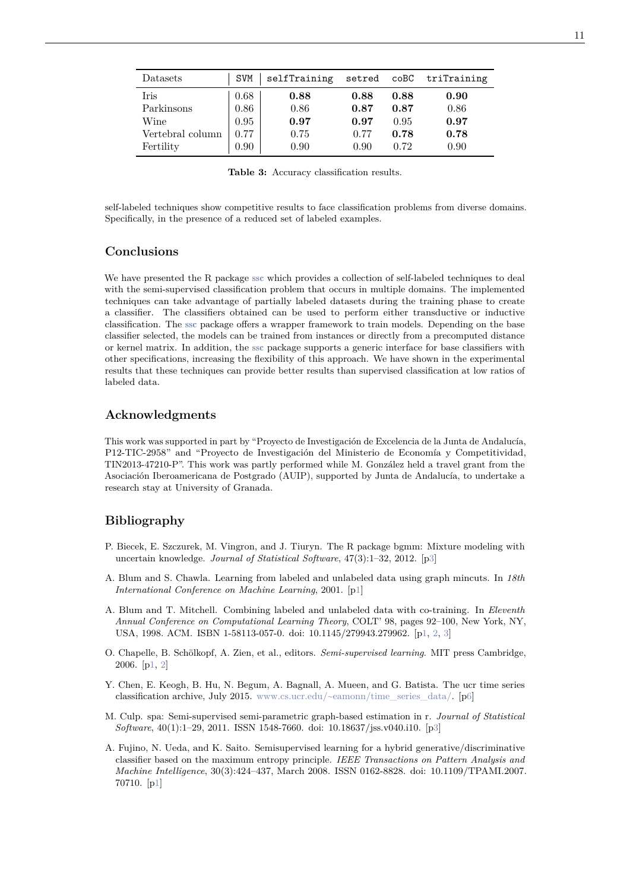| Datasets         | SVM  | selfTraining | setred coBC |      | triTraining |
|------------------|------|--------------|-------------|------|-------------|
| Iris             | 0.68 | 0.88         | 0.88        | 0.88 | 0.90        |
| Parkinsons       | 0.86 | 0.86         | 0.87        | 0.87 | 0.86        |
| Wine             | 0.95 | 0.97         | 0.97        | 0.95 | 0.97        |
| Vertebral column | 0.77 | 0.75         | 0.77        | 0.78 | 0.78        |
| Fertility        | 0.90 | 0.90         | 0.90        | 0.72 | 0.90        |

**Table 3:** Accuracy classification results.

self-labeled techniques show competitive results to face classification problems from diverse domains. Specifically, in the presence of a reduced set of labeled examples.

## **Conclusions**

We have presented the R package ssc which provides a collection of self-labeled techniques to deal with the semi-supervised classification problem that occurs in multiple domains. The implemented techniques can take advantage of partially labeled datasets during the training phase to create a classifier. The classifiers obtained can be used to perform either transductive or inductive classification. The ssc package offers a wrapper framework to train models. Depending on the base classifier selected, the models can be trained from instances or directly from a precomputed distance or kernel matrix. In addition, the ssc package supports a generic interface for base classifiers with other specifications, increasing the flexibility of this approach. We have shown in the experimental results that these techniques can provide better results than supervised classification at low ratios of labeled data.

## **Acknowledgments**

This work was supported in part by "Proyecto de Investigación de Excelencia de la Junta de Andalucía, P12-TIC-2958" and "Proyecto de Investigación del Ministerio de Economía y Competitividad, TIN2013-47210-P". This work was partly performed while M. González held a travel grant from the Asociación Iberoamericana de Postgrado (AUIP), supported by Junta de Andalucía, to undertake a research stay at University of Granada.

## **Bibliography**

- P. Biecek, E. Szczurek, M. Vingron, and J. Tiuryn. The R package bgmm: Mixture modeling with uncertain knowledge. *Journal of Statistical Software*, 47(3):1–32, 2012. [p3]
- A. Blum and S. Chawla. Learning from labeled and unlabeled data using graph mincuts. In *18th International Conference on Machine Learning*, 2001. [p1]
- A. Blum and T. Mitchell. Combining labeled and unlabeled data with co-training. In *Eleventh Annual Conference on Computational Learning Theory*, COLT' 98, pages 92–100, New York, NY, USA, 1998. ACM. ISBN 1-58113-057-0. doi: 10.1145/279943.279962. [p1, 2, 3]
- O. Chapelle, B. Schölkopf, A. Zien, et al., editors. *Semi-supervised learning*. MIT press Cambridge, 2006. [p1, 2]
- Y. Chen, E. Keogh, B. Hu, N. Begum, A. Bagnall, A. Mueen, and G. Batista. The ucr time series classification archive, July 2015. www.cs.ucr.edu/~eamonn/time\_series\_data/. [p6]
- M. Culp. spa: Semi-supervised semi-parametric graph-based estimation in r. *Journal of Statistical Software*, 40(1):1–29, 2011. ISSN 1548-7660. doi: 10.18637/jss.v040.i10. [p3]
- A. Fujino, N. Ueda, and K. Saito. Semisupervised learning for a hybrid generative/discriminative classifier based on the maximum entropy principle. *IEEE Transactions on Pattern Analysis and Machine Intelligence*, 30(3):424–437, March 2008. ISSN 0162-8828. doi: 10.1109/TPAMI.2007. 70710. [p1]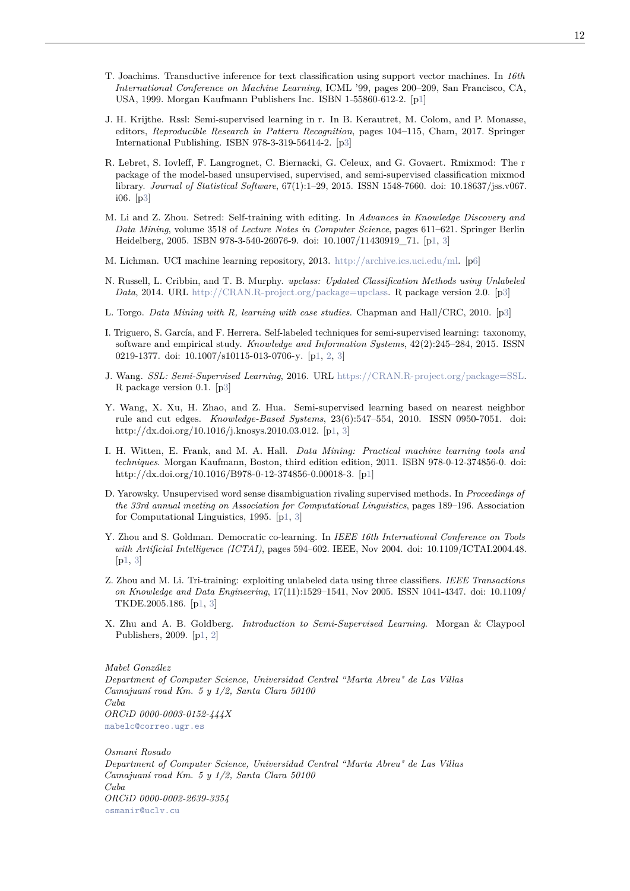- T. Joachims. Transductive inference for text classification using support vector machines. In *16th International Conference on Machine Learning*, ICML '99, pages 200–209, San Francisco, CA, USA, 1999. Morgan Kaufmann Publishers Inc. ISBN 1-55860-612-2. [p1]
- J. H. Krijthe. Rssl: Semi-supervised learning in r. In B. Kerautret, M. Colom, and P. Monasse, editors, *Reproducible Research in Pattern Recognition*, pages 104–115, Cham, 2017. Springer International Publishing. ISBN 978-3-319-56414-2. [p3]
- R. Lebret, S. Iovleff, F. Langrognet, C. Biernacki, G. Celeux, and G. Govaert. Rmixmod: The r package of the model-based unsupervised, supervised, and semi-supervised classification mixmod library. *Journal of Statistical Software*, 67(1):1–29, 2015. ISSN 1548-7660. doi: 10.18637/jss.v067. i06. [p3]
- M. Li and Z. Zhou. Setred: Self-training with editing. In *Advances in Knowledge Discovery and Data Mining*, volume 3518 of *Lecture Notes in Computer Science*, pages 611–621. Springer Berlin Heidelberg, 2005. ISBN 978-3-540-26076-9. doi: 10.1007/11430919\_71. [p1, 3]
- M. Lichman. UCI machine learning repository, 2013. http://archive.ics.uci.edu/ml. [p6]
- N. Russell, L. Cribbin, and T. B. Murphy. *upclass: Updated Classification Methods using Unlabeled Data*, 2014. URL http://CRAN.R-project.org/package=upclass. R package version 2.0. [p3]
- L. Torgo. *Data Mining with R, learning with case studies*. Chapman and Hall/CRC, 2010. [p3]
- I. Triguero, S. García, and F. Herrera. Self-labeled techniques for semi-supervised learning: taxonomy, software and empirical study. *Knowledge and Information Systems*, 42(2):245–284, 2015. ISSN 0219-1377. doi: 10.1007/s10115-013-0706-y. [p1, 2, 3]
- J. Wang. *SSL: Semi-Supervised Learning*, 2016. URL https://CRAN.R-project.org/package=SSL. R package version 0.1. [p3]
- Y. Wang, X. Xu, H. Zhao, and Z. Hua. Semi-supervised learning based on nearest neighbor rule and cut edges. *Knowledge-Based Systems*, 23(6):547–554, 2010. ISSN 0950-7051. doi: http://dx.doi.org/10.1016/j.knosys.2010.03.012. [p1, 3]
- I. H. Witten, E. Frank, and M. A. Hall. *Data Mining: Practical machine learning tools and techniques*. Morgan Kaufmann, Boston, third edition edition, 2011. ISBN 978-0-12-374856-0. doi: http://dx.doi.org/10.1016/B978-0-12-374856-0.00018-3. [p1]
- D. Yarowsky. Unsupervised word sense disambiguation rivaling supervised methods. In *Proceedings of the 33rd annual meeting on Association for Computational Linguistics*, pages 189–196. Association for Computational Linguistics, 1995. [p1, 3]
- Y. Zhou and S. Goldman. Democratic co-learning. In *IEEE 16th International Conference on Tools with Artificial Intelligence (ICTAI)*, pages 594–602. IEEE, Nov 2004. doi: 10.1109/ICTAI.2004.48.  $[p1, 3]$
- Z. Zhou and M. Li. Tri-training: exploiting unlabeled data using three classifiers. *IEEE Transactions on Knowledge and Data Engineering*, 17(11):1529–1541, Nov 2005. ISSN 1041-4347. doi: 10.1109/ TKDE.2005.186. [p1, 3]
- X. Zhu and A. B. Goldberg. *Introduction to Semi-Supervised Learning*. Morgan & Claypool Publishers, 2009. [p1, 2]

*Mabel González Department of Computer Science, Universidad Central "Marta Abreu" de Las Villas Camajuaní road Km. 5 y 1/2, Santa Clara 50100 Cuba ORCiD 0000-0003-0152-444X* mabelc@correo.ugr.es

*Osmani Rosado Department of Computer Science, Universidad Central "Marta Abreu" de Las Villas Camajuaní road Km. 5 y 1/2, Santa Clara 50100 Cuba ORCiD 0000-0002-2639-3354* osmanir@uclv.cu